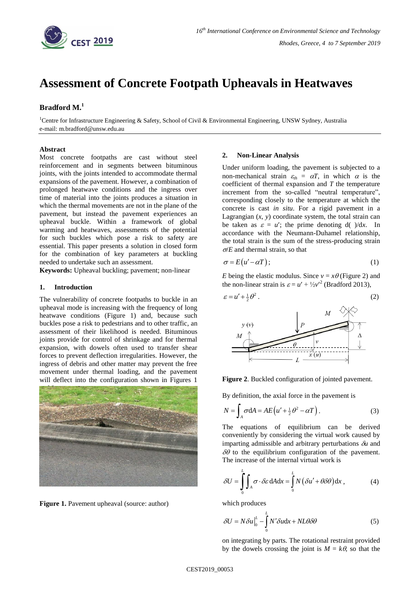

# **Assessment of Concrete Footpath Upheavals in Heatwaves**

# **Bradford M. 1**

<sup>1</sup>Centre for Infrastructure Engineering & Safety, School of Civil & Environmental Engineering, UNSW Sydney, Australia e-mail: m.bradford@unsw.edu.au

# **Abstract**

Most concrete footpaths are cast without steel reinforcement and in segments between bituminous joints, with the joints intended to accommodate thermal expansions of the pavement. However, a combination of prolonged heatwave conditions and the ingress over time of material into the joints produces a situation in which the thermal movements are not in the plane of the pavement, but instead the pavement experiences an upheaval buckle. Within a framework of global warming and heatwaves, assessments of the potential for such buckles which pose a risk to safety are essential. This paper presents a solution in closed form for the combination of key parameters at buckling needed to undertake such an assessment.

**Keywords:** Upheaval buckling; pavement; non-linear

# **1. Introduction**

The vulnerability of concrete footpaths to buckle in an upheaval mode is increasing with the frequency of long heatwave conditions (Figure 1) and, because such buckles pose a risk to pedestrians and to other traffic, an assessment of their likelihood is needed. Bituminous joints provide for control of shrinkage and for thermal expansion, with dowels often used to transfer shear forces to prevent deflection irregularities. However, the ingress of debris and other matter may prevent the free movement under thermal loading, and the pavement will deflect into the configuration shown in Figures 1



Figure 1. Pavement upheaval (source: author)

#### **2. Non-Linear Analysis**

Under uniform loading, the pavement is subjected to a non-mechanical strain  $\varepsilon_{th} = \alpha T$ , in which  $\alpha$  is the coefficient of thermal expansion and *T* the temperature increment from the so-called "neutral temperature", corresponding closely to the temperature at which the concrete is cast *in situ*. For a rigid pavement in a Lagrangian  $(x, y)$  coordinate system, the total strain can be taken as  $\varepsilon = u'$ ; the prime denoting d( )/dx. In accordance with the Neumann-Duhamel relationship, the total strain is the sum of the stress-producing strain  $\sigma/E$  and thermal strain, so that

$$
\sigma = E(u' - \alpha T); \tag{1}
$$

*E* being the elastic modulus. Since  $v = x\theta$  (Figure 2) and the non-linear strain is  $\varepsilon = u' + \frac{1}{2}v'^2$  (Bradford 2013),



# **Figure 2**. Buckled configuration of jointed pavement.

By definition, the axial force in the pavement is

$$
N = \int_{A} \sigma \, dA = AE \left( u' + \frac{1}{2} \theta^2 - \alpha T \right). \tag{3}
$$

The equations of equilibrium can be derived conveniently by considering the virtual work caused by imparting admissible and arbitrary perturbations  $\delta u$  and  $\delta\theta$  to the equilibrium configuration of the pavement. The increase of the internal virtual work is

$$
\delta U = \int_{0}^{L} \int_{A} \sigma \cdot \delta \varepsilon \, dA dx = \int_{0}^{L} N \left( \delta u' + \theta \delta \theta \right) dx \,, \tag{4}
$$

which produces

$$
\delta U = N \delta u \Big|_{0}^{L} - \int_{0}^{L} N' \delta u \, \mathrm{d}x + NL \theta \, \delta \theta \tag{5}
$$

on integrating by parts. The rotational restraint provided by the dowels crossing the joint is  $M = k\theta$ , so that the